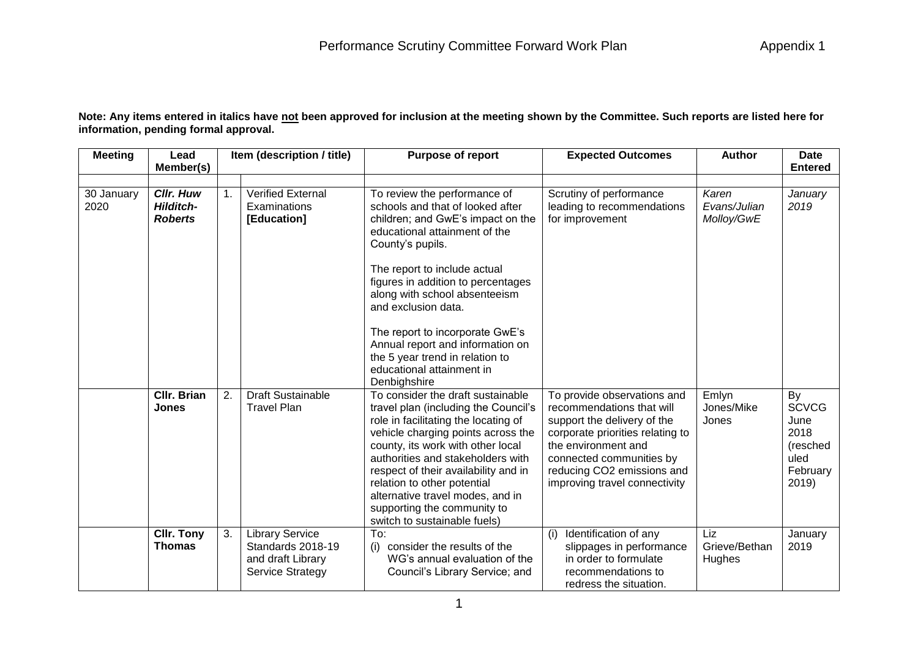**Note: Any items entered in italics have not been approved for inclusion at the meeting shown by the Committee. Such reports are listed here for information, pending formal approval.**

| <b>Meeting</b>     | Lead<br>Member(s)                                      |    | Item (description / title)                                                           | <b>Purpose of report</b>                                                                                                                                                                                                                                                                                                                                                                                                                        | <b>Expected Outcomes</b>                                                                                                                                                                                                                      | <b>Author</b>                       | <b>Date</b><br><b>Entered</b>                                               |
|--------------------|--------------------------------------------------------|----|--------------------------------------------------------------------------------------|-------------------------------------------------------------------------------------------------------------------------------------------------------------------------------------------------------------------------------------------------------------------------------------------------------------------------------------------------------------------------------------------------------------------------------------------------|-----------------------------------------------------------------------------------------------------------------------------------------------------------------------------------------------------------------------------------------------|-------------------------------------|-----------------------------------------------------------------------------|
| 30 January<br>2020 | <b>Cllr. Huw</b><br><b>Hilditch-</b><br><b>Roberts</b> | 1. | <b>Verified External</b><br>Examinations<br>[Education]                              | To review the performance of<br>schools and that of looked after<br>children; and GwE's impact on the<br>educational attainment of the<br>County's pupils.<br>The report to include actual<br>figures in addition to percentages<br>along with school absenteeism<br>and exclusion data.<br>The report to incorporate GwE's<br>Annual report and information on<br>the 5 year trend in relation to<br>educational attainment in<br>Denbighshire | Scrutiny of performance<br>leading to recommendations<br>for improvement                                                                                                                                                                      | Karen<br>Evans/Julian<br>Molloy/GwE | January<br>2019                                                             |
|                    | <b>CIIr. Brian</b><br><b>Jones</b>                     | 2. | <b>Draft Sustainable</b><br><b>Travel Plan</b>                                       | To consider the draft sustainable<br>travel plan (including the Council's<br>role in facilitating the locating of<br>vehicle charging points across the<br>county, its work with other local<br>authorities and stakeholders with<br>respect of their availability and in<br>relation to other potential<br>alternative travel modes, and in<br>supporting the community to<br>switch to sustainable fuels)                                     | To provide observations and<br>recommendations that will<br>support the delivery of the<br>corporate priorities relating to<br>the environment and<br>connected communities by<br>reducing CO2 emissions and<br>improving travel connectivity | Emlyn<br>Jones/Mike<br>Jones        | By<br><b>SCVCG</b><br>June<br>2018<br>(resched<br>uled<br>February<br>2019) |
|                    | <b>CIIr. Tony</b><br><b>Thomas</b>                     | 3. | <b>Library Service</b><br>Standards 2018-19<br>and draft Library<br>Service Strategy | To:<br>consider the results of the<br>(i)<br>WG's annual evaluation of the<br>Council's Library Service; and                                                                                                                                                                                                                                                                                                                                    | Identification of any<br>(i)<br>slippages in performance<br>in order to formulate<br>recommendations to<br>redress the situation.                                                                                                             | Liz<br>Grieve/Bethan<br>Hughes      | January<br>2019                                                             |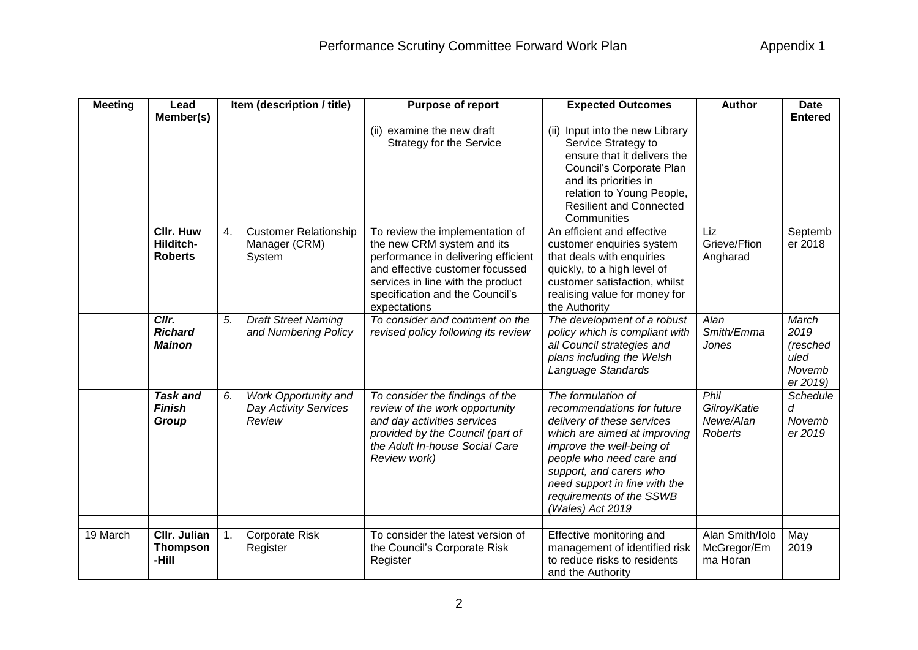| <b>Meeting</b> | Lead                                            |    | Item (description / title)                                     | Purpose of report                                                                                                                                                                                                               | <b>Expected Outcomes</b>                                                                                                                                                                                                                                                            | <b>Author</b>                                       | <b>Date</b>                                             |
|----------------|-------------------------------------------------|----|----------------------------------------------------------------|---------------------------------------------------------------------------------------------------------------------------------------------------------------------------------------------------------------------------------|-------------------------------------------------------------------------------------------------------------------------------------------------------------------------------------------------------------------------------------------------------------------------------------|-----------------------------------------------------|---------------------------------------------------------|
|                | Member(s)                                       |    |                                                                |                                                                                                                                                                                                                                 |                                                                                                                                                                                                                                                                                     |                                                     | <b>Entered</b>                                          |
|                |                                                 |    |                                                                | (ii) examine the new draft<br>Strategy for the Service                                                                                                                                                                          | Input into the new Library<br>(ii)<br>Service Strategy to<br>ensure that it delivers the<br>Council's Corporate Plan<br>and its priorities in<br>relation to Young People,<br><b>Resilient and Connected</b><br>Communities                                                         |                                                     |                                                         |
|                | <b>Cllr. Huw</b><br>Hilditch-<br><b>Roberts</b> | 4. | <b>Customer Relationship</b><br>Manager (CRM)<br>System        | To review the implementation of<br>the new CRM system and its<br>performance in delivering efficient<br>and effective customer focussed<br>services in line with the product<br>specification and the Council's<br>expectations | An efficient and effective<br>customer enquiries system<br>that deals with enquiries<br>quickly, to a high level of<br>customer satisfaction, whilst<br>realising value for money for<br>the Authority                                                                              | Liz<br>Grieve/Ffion<br>Angharad                     | Septemb<br>er 2018                                      |
|                | Cllr.<br><b>Richard</b><br><b>Mainon</b>        | 5. | <b>Draft Street Naming</b><br>and Numbering Policy             | To consider and comment on the<br>revised policy following its review                                                                                                                                                           | The development of a robust<br>policy which is compliant with<br>all Council strategies and<br>plans including the Welsh<br>Language Standards                                                                                                                                      | Alan<br>Smith/Emma<br>Jones                         | March<br>2019<br>(resched<br>uled<br>Novemb<br>er 2019) |
|                | <b>Task and</b><br><b>Finish</b><br>Group       | 6. | Work Opportunity and<br><b>Day Activity Services</b><br>Review | To consider the findings of the<br>review of the work opportunity<br>and day activities services<br>provided by the Council (part of<br>the Adult In-house Social Care<br>Review work)                                          | The formulation of<br>recommendations for future<br>delivery of these services<br>which are aimed at improving<br>improve the well-being of<br>people who need care and<br>support, and carers who<br>need support in line with the<br>requirements of the SSWB<br>(Wales) Act 2019 | Phil<br>Gilroy/Katie<br>Newe/Alan<br><b>Roberts</b> | Schedule<br>d<br>Novemb<br>er 2019                      |
| 19 March       | <b>CIIr. Julian</b><br><b>Thompson</b><br>-Hill | 1. | <b>Corporate Risk</b><br>Register                              | To consider the latest version of<br>the Council's Corporate Risk<br>Register                                                                                                                                                   | Effective monitoring and<br>management of identified risk<br>to reduce risks to residents<br>and the Authority                                                                                                                                                                      | Alan Smith/Iolo<br>McGregor/Em<br>ma Horan          | May<br>2019                                             |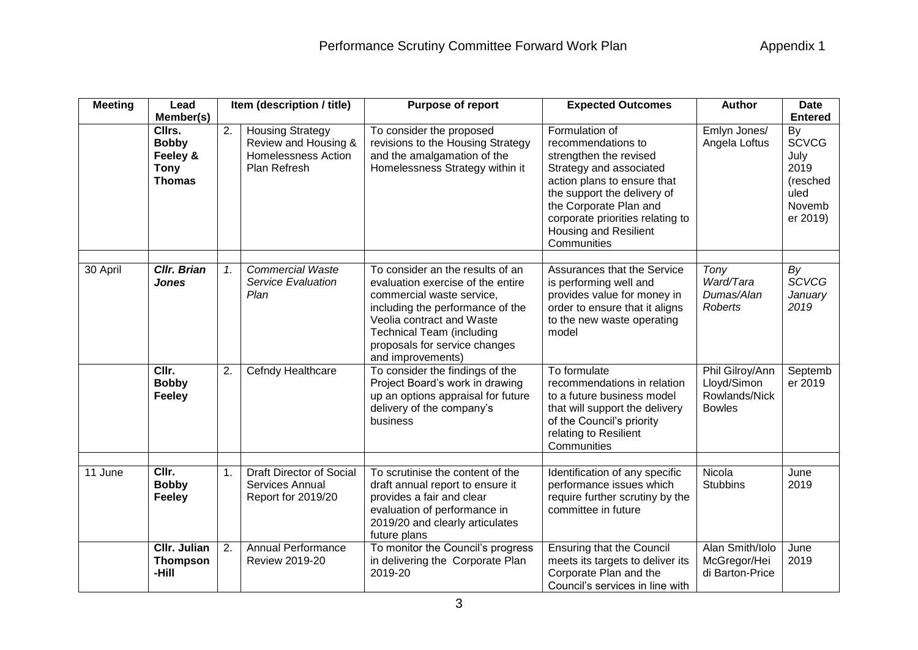| <b>Meeting</b> | Lead                                                                            |                  | Item (description / title)                                                                    | Purpose of report                                                                                                                                                                                                                                             | <b>Expected Outcomes</b>                                                                                                                                                                                                                                             | <b>Author</b>                                                    | <b>Date</b>                                                                                    |
|----------------|---------------------------------------------------------------------------------|------------------|-----------------------------------------------------------------------------------------------|---------------------------------------------------------------------------------------------------------------------------------------------------------------------------------------------------------------------------------------------------------------|----------------------------------------------------------------------------------------------------------------------------------------------------------------------------------------------------------------------------------------------------------------------|------------------------------------------------------------------|------------------------------------------------------------------------------------------------|
|                | Member(s)<br>Cllrs.<br><b>Bobby</b><br>Feeley &<br><b>Tony</b><br><b>Thomas</b> | $\overline{2}$ . | <b>Housing Strategy</b><br>Review and Housing &<br><b>Homelessness Action</b><br>Plan Refresh | To consider the proposed<br>revisions to the Housing Strategy<br>and the amalgamation of the<br>Homelessness Strategy within it                                                                                                                               | Formulation of<br>recommendations to<br>strengthen the revised<br>Strategy and associated<br>action plans to ensure that<br>the support the delivery of<br>the Corporate Plan and<br>corporate priorities relating to<br><b>Housing and Resilient</b><br>Communities | Emlyn Jones/<br>Angela Loftus                                    | <b>Entered</b><br>By<br><b>SCVCG</b><br>July<br>2019<br>(resched<br>uled<br>Novemb<br>er 2019) |
| 30 April       | <b>Cllr. Brian</b><br>Jones                                                     | $\mathcal{I}$ .  | <b>Commercial Waste</b><br><b>Service Evaluation</b><br>Plan                                  | To consider an the results of an<br>evaluation exercise of the entire<br>commercial waste service,<br>including the performance of the<br>Veolia contract and Waste<br><b>Technical Team (including</b><br>proposals for service changes<br>and improvements) | Assurances that the Service<br>is performing well and<br>provides value for money in<br>order to ensure that it aligns<br>to the new waste operating<br>model                                                                                                        | Tony<br>Ward/Tara<br>Dumas/Alan<br>Roberts                       | By<br><b>SCVCG</b><br>January<br>2019                                                          |
|                | CIIr.<br><b>Bobby</b><br>Feeley                                                 | 2.               | Cefndy Healthcare                                                                             | To consider the findings of the<br>Project Board's work in drawing<br>up an options appraisal for future<br>delivery of the company's<br>business                                                                                                             | To formulate<br>recommendations in relation<br>to a future business model<br>that will support the delivery<br>of the Council's priority<br>relating to Resilient<br>Communities                                                                                     | Phil Gilroy/Ann<br>Lloyd/Simon<br>Rowlands/Nick<br><b>Bowles</b> | Septemb<br>er 2019                                                                             |
| 11 June        | CIIr.<br><b>Bobby</b><br><b>Feeley</b>                                          | 1.               | <b>Draft Director of Social</b><br>Services Annual<br>Report for 2019/20                      | To scrutinise the content of the<br>draft annual report to ensure it<br>provides a fair and clear<br>evaluation of performance in<br>2019/20 and clearly articulates<br>future plans                                                                          | Identification of any specific<br>performance issues which<br>require further scrutiny by the<br>committee in future                                                                                                                                                 | Nicola<br><b>Stubbins</b>                                        | June<br>2019                                                                                   |
|                | <b>CIIr. Julian</b><br><b>Thompson</b><br>-Hill                                 | 2.               | Annual Performance<br>Review 2019-20                                                          | To monitor the Council's progress<br>in delivering the Corporate Plan<br>2019-20                                                                                                                                                                              | <b>Ensuring that the Council</b><br>meets its targets to deliver its<br>Corporate Plan and the<br>Council's services in line with                                                                                                                                    | Alan Smith/Iolo<br>McGregor/Hei<br>di Barton-Price               | June<br>2019                                                                                   |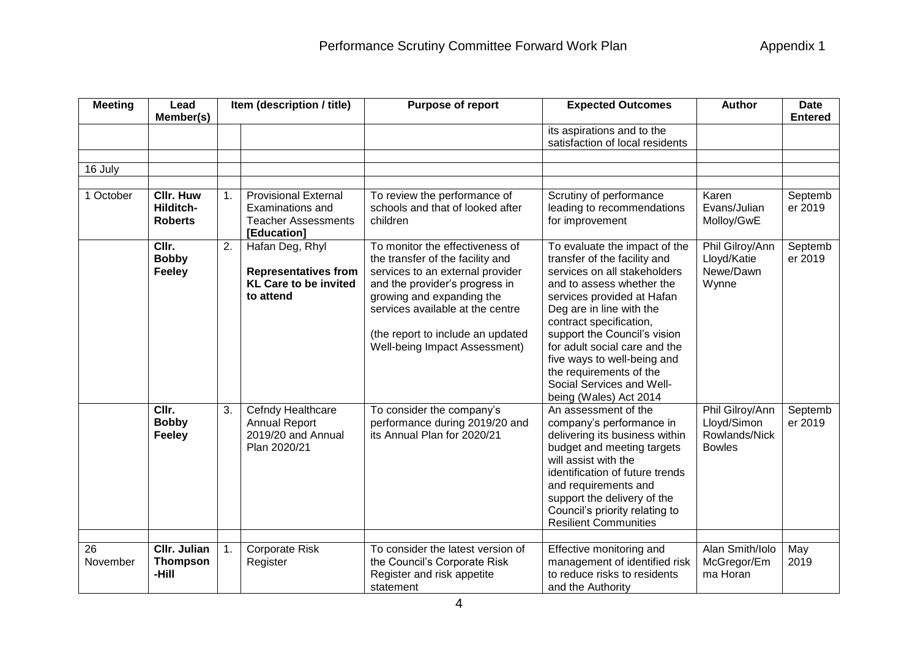| <b>Meeting</b> | Lead<br>Member(s)                               |    | Item (description / title)                                                                   | Purpose of report                                                                                                                                                                                                                                                                | <b>Expected Outcomes</b>                                                                                                                                                                                                                                                                                                                                                                          | <b>Author</b>                                                    | <b>Date</b><br><b>Entered</b> |
|----------------|-------------------------------------------------|----|----------------------------------------------------------------------------------------------|----------------------------------------------------------------------------------------------------------------------------------------------------------------------------------------------------------------------------------------------------------------------------------|---------------------------------------------------------------------------------------------------------------------------------------------------------------------------------------------------------------------------------------------------------------------------------------------------------------------------------------------------------------------------------------------------|------------------------------------------------------------------|-------------------------------|
|                |                                                 |    |                                                                                              |                                                                                                                                                                                                                                                                                  | its aspirations and to the<br>satisfaction of local residents                                                                                                                                                                                                                                                                                                                                     |                                                                  |                               |
| 16 July        |                                                 |    |                                                                                              |                                                                                                                                                                                                                                                                                  |                                                                                                                                                                                                                                                                                                                                                                                                   |                                                                  |                               |
| 1 October      | <b>CIIr. Huw</b><br>Hilditch-<br><b>Roberts</b> | 1. | <b>Provisional External</b><br>Examinations and<br><b>Teacher Assessments</b><br>[Education] | To review the performance of<br>schools and that of looked after<br>children                                                                                                                                                                                                     | Scrutiny of performance<br>leading to recommendations<br>for improvement                                                                                                                                                                                                                                                                                                                          | Karen<br>Evans/Julian<br>Molloy/GwE                              | Septemb<br>er 2019            |
|                | CIIr.<br><b>Bobby</b><br>Feeley                 | 2. | Hafan Deg, Rhyl<br><b>Representatives from</b><br><b>KL Care to be invited</b><br>to attend  | To monitor the effectiveness of<br>the transfer of the facility and<br>services to an external provider<br>and the provider's progress in<br>growing and expanding the<br>services available at the centre<br>(the report to include an updated<br>Well-being Impact Assessment) | To evaluate the impact of the<br>transfer of the facility and<br>services on all stakeholders<br>and to assess whether the<br>services provided at Hafan<br>Deg are in line with the<br>contract specification,<br>support the Council's vision<br>for adult social care and the<br>five ways to well-being and<br>the requirements of the<br>Social Services and Well-<br>being (Wales) Act 2014 | Phil Gilroy/Ann<br>Lloyd/Katie<br>Newe/Dawn<br>Wynne             | Septemb<br>er 2019            |
|                | CIIr.<br><b>Bobby</b><br><b>Feeley</b>          | 3. | Cefndy Healthcare<br><b>Annual Report</b><br>2019/20 and Annual<br>Plan 2020/21              | To consider the company's<br>performance during 2019/20 and<br>its Annual Plan for 2020/21                                                                                                                                                                                       | An assessment of the<br>company's performance in<br>delivering its business within<br>budget and meeting targets<br>will assist with the<br>identification of future trends<br>and requirements and<br>support the delivery of the<br>Council's priority relating to<br><b>Resilient Communities</b>                                                                                              | Phil Gilroy/Ann<br>Lloyd/Simon<br>Rowlands/Nick<br><b>Bowles</b> | Septemb<br>er 2019            |
| 26<br>November | <b>CIIr. Julian</b><br><b>Thompson</b><br>-Hill | 1. | Corporate Risk<br>Register                                                                   | To consider the latest version of<br>the Council's Corporate Risk<br>Register and risk appetite<br>statement                                                                                                                                                                     | Effective monitoring and<br>management of identified risk<br>to reduce risks to residents<br>and the Authority                                                                                                                                                                                                                                                                                    | Alan Smith/Iolo<br>McGregor/Em<br>ma Horan                       | May<br>2019                   |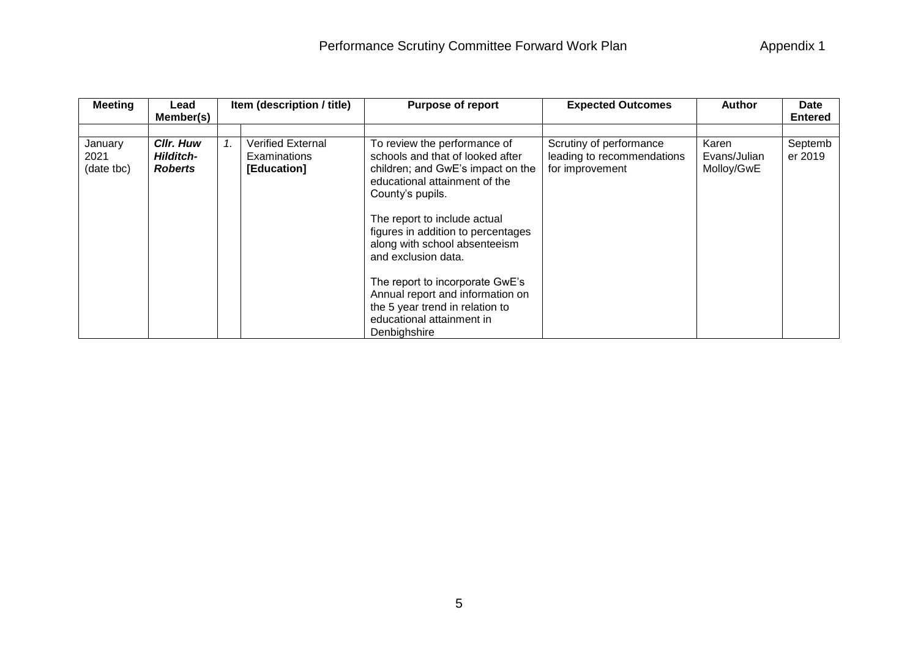| <b>Meeting</b>                | Lead<br>Member(s)                                      | Item (description / title)                              | <b>Purpose of report</b>                                                                                                                                                                                                                                                                                                                                                                                                                        | <b>Expected Outcomes</b>                                                 | <b>Author</b>                       | <b>Date</b><br><b>Entered</b> |
|-------------------------------|--------------------------------------------------------|---------------------------------------------------------|-------------------------------------------------------------------------------------------------------------------------------------------------------------------------------------------------------------------------------------------------------------------------------------------------------------------------------------------------------------------------------------------------------------------------------------------------|--------------------------------------------------------------------------|-------------------------------------|-------------------------------|
| January<br>2021<br>(date tbc) | <b>Cllr. Huw</b><br><b>Hilditch-</b><br><b>Roberts</b> | Verified External<br><b>Examinations</b><br>[Education] | To review the performance of<br>schools and that of looked after<br>children; and GwE's impact on the<br>educational attainment of the<br>County's pupils.<br>The report to include actual<br>figures in addition to percentages<br>along with school absenteeism<br>and exclusion data.<br>The report to incorporate GwE's<br>Annual report and information on<br>the 5 year trend in relation to<br>educational attainment in<br>Denbighshire | Scrutiny of performance<br>leading to recommendations<br>for improvement | Karen<br>Evans/Julian<br>Molloy/GwE | Septemb<br>er 2019            |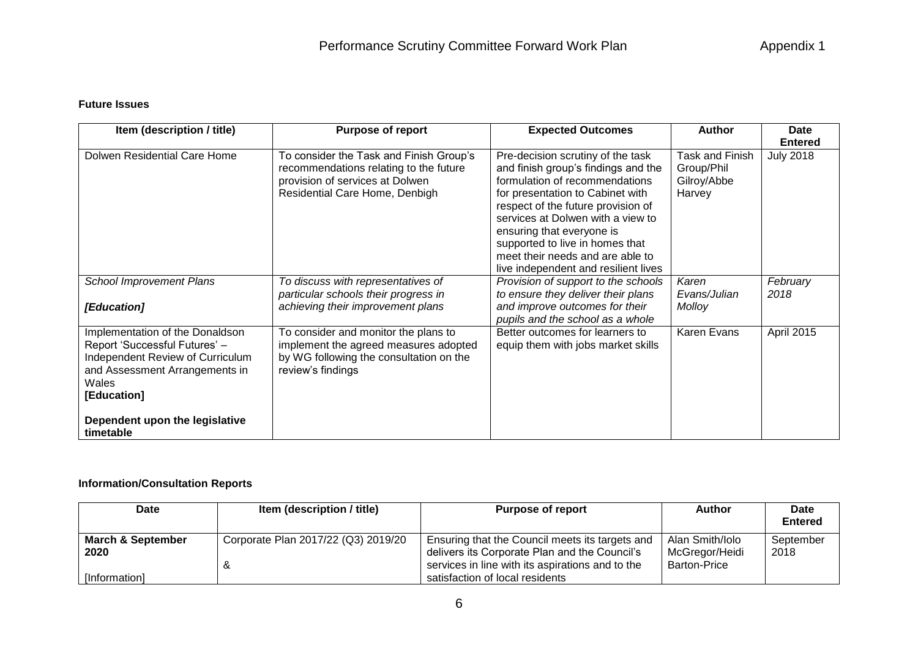## **Future Issues**

| Item (description / title)                                                                                                                                     | <b>Purpose of report</b>                                                                                                                               | <b>Expected Outcomes</b>                                                                                                                                                                                                                                                                                                                                              | <b>Author</b>                                          | <b>Date</b><br><b>Entered</b> |
|----------------------------------------------------------------------------------------------------------------------------------------------------------------|--------------------------------------------------------------------------------------------------------------------------------------------------------|-----------------------------------------------------------------------------------------------------------------------------------------------------------------------------------------------------------------------------------------------------------------------------------------------------------------------------------------------------------------------|--------------------------------------------------------|-------------------------------|
| Dolwen Residential Care Home                                                                                                                                   | To consider the Task and Finish Group's<br>recommendations relating to the future<br>provision of services at Dolwen<br>Residential Care Home, Denbigh | Pre-decision scrutiny of the task<br>and finish group's findings and the<br>formulation of recommendations<br>for presentation to Cabinet with<br>respect of the future provision of<br>services at Dolwen with a view to<br>ensuring that everyone is<br>supported to live in homes that<br>meet their needs and are able to<br>live independent and resilient lives | Task and Finish<br>Group/Phil<br>Gilroy/Abbe<br>Harvey | <b>July 2018</b>              |
| <b>School Improvement Plans</b><br>[Education]                                                                                                                 | To discuss with representatives of<br>particular schools their progress in<br>achieving their improvement plans                                        | Provision of support to the schools<br>to ensure they deliver their plans<br>and improve outcomes for their<br>pupils and the school as a whole                                                                                                                                                                                                                       | Karen<br>Evans/Julian<br>Molloy                        | February<br>2018              |
| Implementation of the Donaldson<br>Report 'Successful Futures' -<br>Independent Review of Curriculum<br>and Assessment Arrangements in<br>Wales<br>[Education] | To consider and monitor the plans to<br>implement the agreed measures adopted<br>by WG following the consultation on the<br>review's findings          | Better outcomes for learners to<br>equip them with jobs market skills                                                                                                                                                                                                                                                                                                 | Karen Evans                                            | April 2015                    |
| Dependent upon the legislative<br>timetable                                                                                                                    |                                                                                                                                                        |                                                                                                                                                                                                                                                                                                                                                                       |                                                        |                               |

## **Information/Consultation Reports**

| Date                 | Item (description / title)          | <b>Purpose of report</b>                         | Author              | Date<br><b>Entered</b> |
|----------------------|-------------------------------------|--------------------------------------------------|---------------------|------------------------|
|                      |                                     |                                                  |                     |                        |
| March & September    | Corporate Plan 2017/22 (Q3) 2019/20 | Ensuring that the Council meets its targets and  | Alan Smith/Iolo     | September              |
| 2020                 |                                     | delivers its Corporate Plan and the Council's    | McGregor/Heidi      | 2018                   |
|                      | Ŏ                                   | services in line with its aspirations and to the | <b>Barton-Price</b> |                        |
| <i>[Information]</i> |                                     | satisfaction of local residents                  |                     |                        |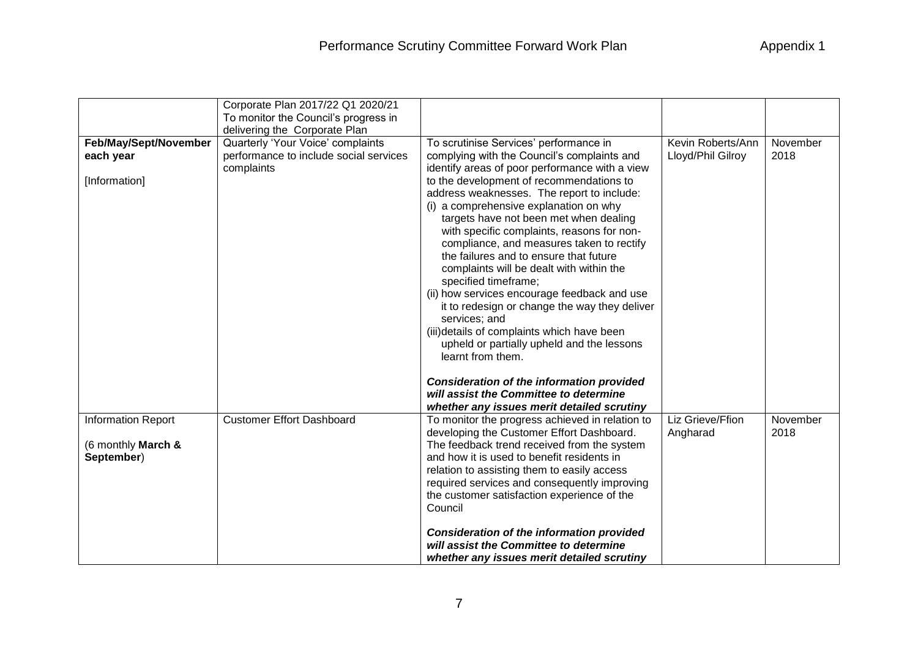| Appendix 1 |  |  |  |  |
|------------|--|--|--|--|
|------------|--|--|--|--|

|                           | Corporate Plan 2017/22 Q1 2020/21      |                                                  |                   |          |
|---------------------------|----------------------------------------|--------------------------------------------------|-------------------|----------|
|                           | To monitor the Council's progress in   |                                                  |                   |          |
|                           | delivering the Corporate Plan          |                                                  |                   |          |
| Feb/May/Sept/November     | Quarterly 'Your Voice' complaints      | To scrutinise Services' performance in           | Kevin Roberts/Ann | November |
| each year                 | performance to include social services | complying with the Council's complaints and      | Lloyd/Phil Gilroy | 2018     |
|                           | complaints                             | identify areas of poor performance with a view   |                   |          |
| [Information]             |                                        | to the development of recommendations to         |                   |          |
|                           |                                        | address weaknesses. The report to include:       |                   |          |
|                           |                                        | (i) a comprehensive explanation on why           |                   |          |
|                           |                                        | targets have not been met when dealing           |                   |          |
|                           |                                        | with specific complaints, reasons for non-       |                   |          |
|                           |                                        | compliance, and measures taken to rectify        |                   |          |
|                           |                                        | the failures and to ensure that future           |                   |          |
|                           |                                        | complaints will be dealt with within the         |                   |          |
|                           |                                        | specified timeframe;                             |                   |          |
|                           |                                        | (ii) how services encourage feedback and use     |                   |          |
|                           |                                        | it to redesign or change the way they deliver    |                   |          |
|                           |                                        | services; and                                    |                   |          |
|                           |                                        | (iii) details of complaints which have been      |                   |          |
|                           |                                        | upheld or partially upheld and the lessons       |                   |          |
|                           |                                        | learnt from them.                                |                   |          |
|                           |                                        | <b>Consideration of the information provided</b> |                   |          |
|                           |                                        | will assist the Committee to determine           |                   |          |
|                           |                                        | whether any issues merit detailed scrutiny       |                   |          |
| <b>Information Report</b> | <b>Customer Effort Dashboard</b>       | To monitor the progress achieved in relation to  | Liz Grieve/Ffion  | November |
|                           |                                        | developing the Customer Effort Dashboard.        | Angharad          | 2018     |
| (6 monthly March &        |                                        | The feedback trend received from the system      |                   |          |
| September)                |                                        | and how it is used to benefit residents in       |                   |          |
|                           |                                        | relation to assisting them to easily access      |                   |          |
|                           |                                        | required services and consequently improving     |                   |          |
|                           |                                        | the customer satisfaction experience of the      |                   |          |
|                           |                                        | Council                                          |                   |          |
|                           |                                        |                                                  |                   |          |
|                           |                                        | <b>Consideration of the information provided</b> |                   |          |
|                           |                                        | will assist the Committee to determine           |                   |          |
|                           |                                        | whether any issues merit detailed scrutiny       |                   |          |